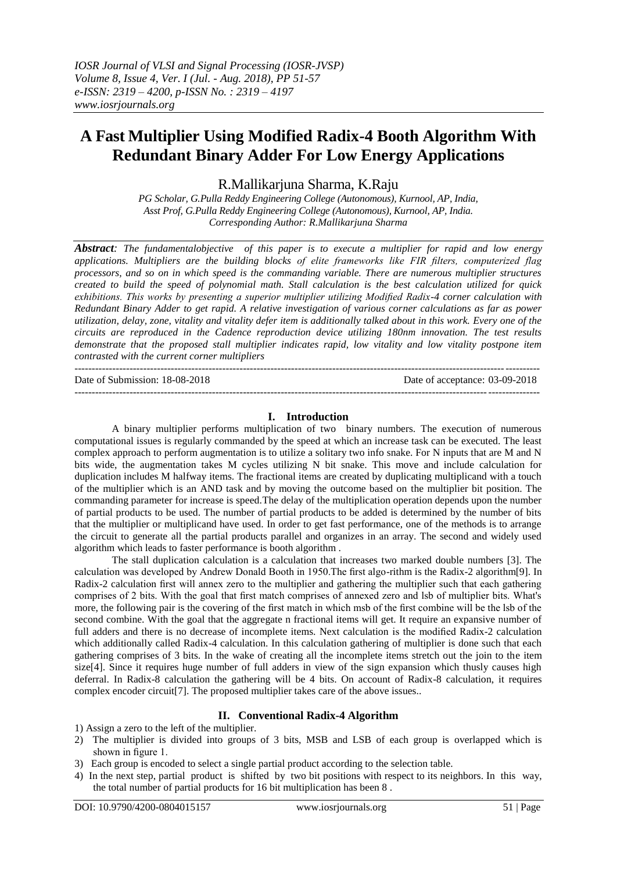# **A Fast Multiplier Using Modified Radix-4 Booth Algorithm With Redundant Binary Adder For Low Energy Applications**

R.Mallikarjuna Sharma, K.Raju

*PG Scholar, G.Pulla Reddy Engineering College (Autonomous), Kurnool, AP, India, Asst Prof, G.Pulla Reddy Engineering College (Autonomous), Kurnool, AP, India. Corresponding Author: R.Mallikarjuna Sharma*

*Abstract: The fundamentalobjective of this paper is to execute a multiplier for rapid and low energy applications. Multipliers are the building blocks of elite frameworks like FIR filters, computerized flag processors, and so on in which speed is the commanding variable. There are numerous multiplier structures created to build the speed of polynomial math. Stall calculation is the best calculation utilized for quick exhibitions. This works by presenting a superior multiplier utilizing Modified Radix-4 corner calculation with Redundant Binary Adder to get rapid. A relative investigation of various corner calculations as far as power utilization, delay, zone, vitality and vitality defer item is additionally talked about in this work. Every one of the circuits are reproduced in the Cadence reproduction device utilizing 180nm innovation. The test results demonstrate that the proposed stall multiplier indicates rapid, low vitality and low vitality postpone item contrasted with the current corner multipliers* ---------------------------------------------------------------------------------------------------------------------------------------

Date of Submission: 18-08-2018 Date of acceptance: 03-09-2018 ---------------------------------------------------------------------------------------------------------------------------------------

#### **I. Introduction**

A binary multiplier performs multiplication of two binary numbers. The execution of numerous computational issues is regularly commanded by the speed at which an increase task can be executed. The least complex approach to perform augmentation is to utilize a solitary two info snake. For N inputs that are M and N bits wide, the augmentation takes M cycles utilizing N bit snake. This move and include calculation for duplication includes M halfway items. The fractional items are created by duplicating multiplicand with a touch of the multiplier which is an AND task and by moving the outcome based on the multiplier bit position. The commanding parameter for increase is speed.The delay of the multiplication operation depends upon the number of partial products to be used. The number of partial products to be added is determined by the number of bits that the multiplier or multiplicand have used. In order to get fast performance, one of the methods is to arrange the circuit to generate all the partial products parallel and organizes in an array. The second and widely used algorithm which leads to faster performance is booth algorithm .

The stall duplication calculation is a calculation that increases two marked double numbers [3]. The calculation was developed by Andrew Donald Booth in 1950.The first algo-rithm is the Radix-2 algorithm[9]. In Radix-2 calculation first will annex zero to the multiplier and gathering the multiplier such that each gathering comprises of 2 bits. With the goal that first match comprises of annexed zero and lsb of multiplier bits. What's more, the following pair is the covering of the first match in which msb of the first combine will be the lsb of the second combine. With the goal that the aggregate n fractional items will get. It require an expansive number of full adders and there is no decrease of incomplete items. Next calculation is the modified Radix-2 calculation which additionally called Radix-4 calculation. In this calculation gathering of multiplier is done such that each gathering comprises of 3 bits. In the wake of creating all the incomplete items stretch out the join to the item size[4]. Since it requires huge number of full adders in view of the sign expansion which thusly causes high deferral. In Radix-8 calculation the gathering will be 4 bits. On account of Radix-8 calculation, it requires complex encoder circuit[7]. The proposed multiplier takes care of the above issues..

## **II. Conventional Radix-4 Algorithm**

1) Assign a zero to the left of the multiplier.

- 2) The multiplier is divided into groups of 3 bits, MSB and LSB of each group is overlapped which is shown in figure 1.
- 3) Each group is encoded to select a single partial product according to the selection table.
- 4) In the next step, partial product is shifted by two bit positions with respect to its neighbors. In this way, the total number of partial products for 16 bit multiplication has been 8 .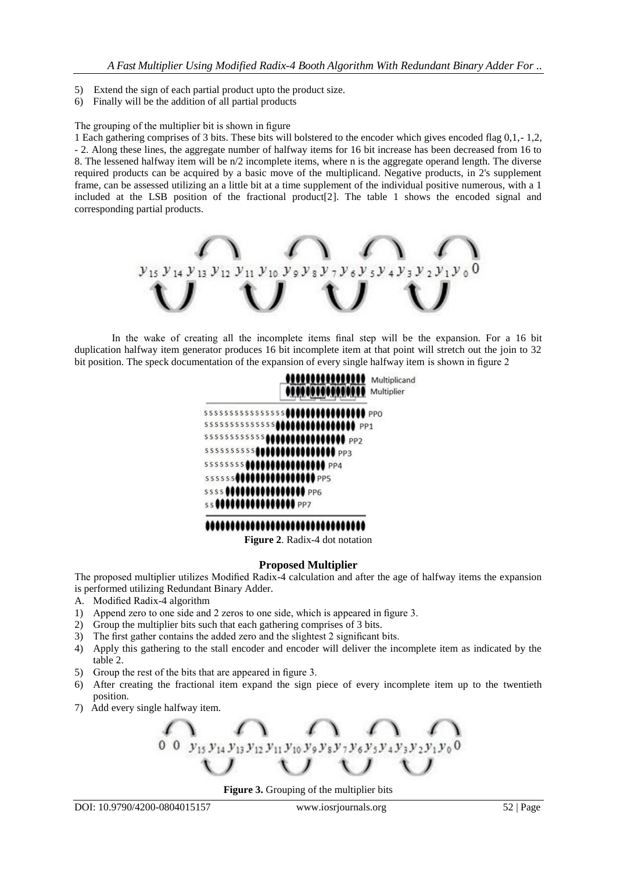- 5) Extend the sign of each partial product upto the product size.
- 6) Finally will be the addition of all partial products

#### The grouping of the multiplier bit is shown in figure

1 Each gathering comprises of 3 bits. These bits will bolstered to the encoder which gives encoded flag 0,1,- 1,2, - 2. Along these lines, the aggregate number of halfway items for 16 bit increase has been decreased from 16 to 8. The lessened halfway item will be n/2 incomplete items, where n is the aggregate operand length. The diverse required products can be acquired by a basic move of the multiplicand. Negative products, in 2's supplement frame, can be assessed utilizing an a little bit at a time supplement of the individual positive numerous, with a 1 included at the LSB position of the fractional product[2]. The table 1 shows the encoded signal and corresponding partial products.



In the wake of creating all the incomplete items final step will be the expansion. For a 16 bit duplication halfway item generator produces 16 bit incomplete item at that point will stretch out the join to 32 bit position. The speck documentation of the expansion of every single halfway item is shown in figure 2



**Figure 2**. Radix-4 dot notation

#### **Proposed Multiplier**

The proposed multiplier utilizes Modified Radix-4 calculation and after the age of halfway items the expansion is performed utilizing Redundant Binary Adder.

- A. Modified Radix-4 algorithm
- 1) Append zero to one side and 2 zeros to one side, which is appeared in figure 3.
- 2) Group the multiplier bits such that each gathering comprises of 3 bits.
- 3) The first gather contains the added zero and the slightest 2 significant bits.
- 4) Apply this gathering to the stall encoder and encoder will deliver the incomplete item as indicated by the table 2.
- 5) Group the rest of the bits that are appeared in figure 3.
- 6) After creating the fractional item expand the sign piece of every incomplete item up to the twentieth position.
- 7) Add every single halfway item.

0 0  $y_{15}y_{14}y_{13}y_{12}y_{11}y_{10}y_9y_8y_7y_6y_5y_4y_3y$ 

**Figure 3.** Grouping of the multiplier bits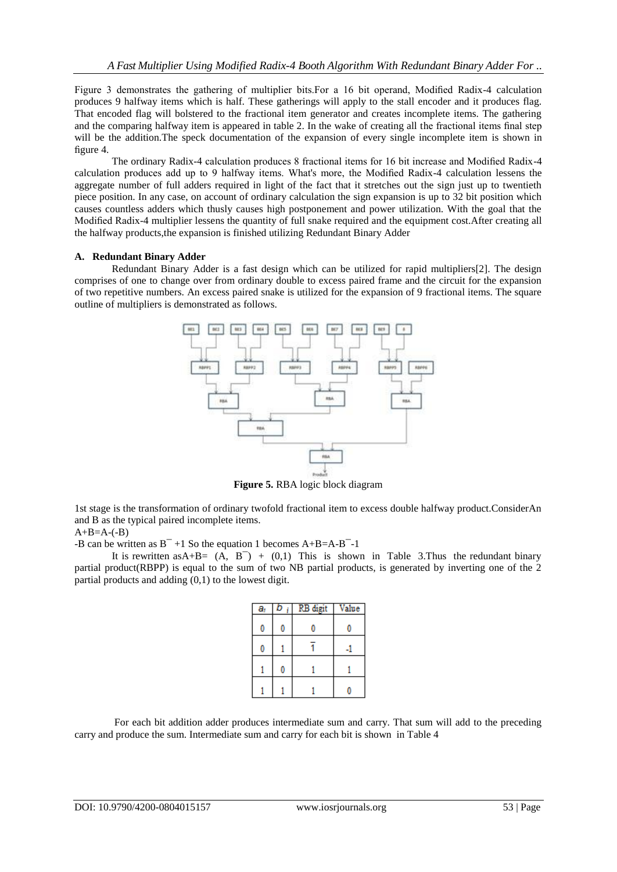Figure 3 demonstrates the gathering of multiplier bits.For a 16 bit operand, Modified Radix-4 calculation produces 9 halfway items which is half. These gatherings will apply to the stall encoder and it produces flag. That encoded flag will bolstered to the fractional item generator and creates incomplete items. The gathering and the comparing halfway item is appeared in table 2. In the wake of creating all the fractional items final step will be the addition.The speck documentation of the expansion of every single incomplete item is shown in figure 4.

The ordinary Radix-4 calculation produces 8 fractional items for 16 bit increase and Modified Radix-4 calculation produces add up to 9 halfway items. What's more, the Modified Radix-4 calculation lessens the aggregate number of full adders required in light of the fact that it stretches out the sign just up to twentieth piece position. In any case, on account of ordinary calculation the sign expansion is up to 32 bit position which causes countless adders which thusly causes high postponement and power utilization. With the goal that the Modified Radix-4 multiplier lessens the quantity of full snake required and the equipment cost.After creating all the halfway products,the expansion is finished utilizing Redundant Binary Adder

#### **A. Redundant Binary Adder**

Redundant Binary Adder is a fast design which can be utilized for rapid multipliers[2]. The design comprises of one to change over from ordinary double to excess paired frame and the circuit for the expansion of two repetitive numbers. An excess paired snake is utilized for the expansion of 9 fractional items. The square outline of multipliers is demonstrated as follows.



**Figure 5.** RBA logic block diagram

1st stage is the transformation of ordinary twofold fractional item to excess double halfway product.ConsiderAn and B as the typical paired incomplete items.

#### $A+B=A-(-B)$

-B can be written as  $B^{-}$  +1 So the equation 1 becomes A+B=A-B<sup>-</sup>-1

It is rewritten as  $A+B= (A, B^-) + (0,1)$  This is shown in Table 3. Thus the redundant binary partial product(RBPP) is equal to the sum of two NB partial products, is generated by inverting one of the 2 partial products and adding (0,1) to the lowest digit.

| a, | b | RB digit | Value |
|----|---|----------|-------|
| 0  |   |          |       |
| 0  |   |          |       |
|    |   |          |       |
|    |   |          |       |

For each bit addition adder produces intermediate sum and carry. That sum will add to the preceding carry and produce the sum. Intermediate sum and carry for each bit is shown in Table 4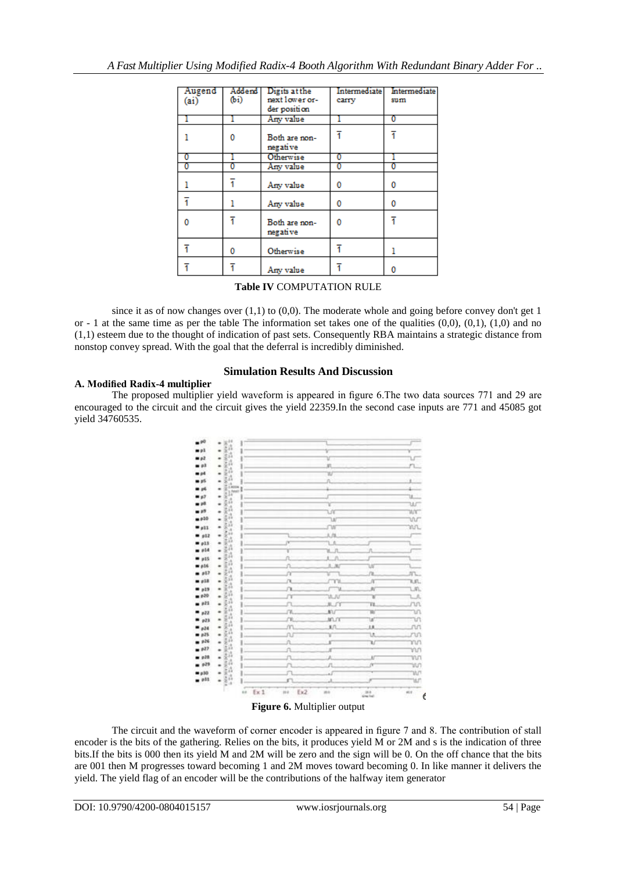| Augend | Addend | Digits at the  | Intermediate | Intermediate |
|--------|--------|----------------|--------------|--------------|
| (ai)   | (b)    | next lower or- | carry        | sum          |
|        |        | der position   |              |              |
|        |        | Any value      |              | Ō            |
|        |        |                |              |              |
|        |        |                |              |              |
|        | o      | Both are non-  |              |              |
|        |        | negative       |              |              |
| 0      |        | Otherwise      | 0            |              |
| 0      | 0      | Any value      | 0            | 0            |
|        |        |                |              |              |
|        | 1      | Any value      | 0            | 0            |
|        |        |                |              |              |
|        | ı      | Any value      | 0            | 0            |
|        |        |                |              |              |
| o      |        | Both are non-  | 0            |              |
|        |        | negative       |              |              |
|        |        |                |              |              |
| ī      | 0      | Otherwise      | ī            |              |
|        |        |                |              |              |
|        | ī      |                |              |              |
|        |        | Any value      |              | 0            |

**Table IV** COMPUTATION RULE

since it as of now changes over  $(1,1)$  to  $(0,0)$ . The moderate whole and going before convey don't get 1 or - 1 at the same time as per the table The information set takes one of the qualities  $(0,0)$ ,  $(0,1)$ ,  $(1,0)$  and no (1,1) esteem due to the thought of indication of past sets. Consequently RBA maintains a strategic distance from nonstop convey spread. With the goal that the deferral is incredibly diminished.

### **A. Modified Radix-4 multiplier**

### **Simulation Results And Discussion**

The proposed multiplier yield waveform is appeared in figure 6.The two data sources 771 and 29 are encouraged to the circuit and the circuit gives the yield 22359.In the second case inputs are 771 and 45085 got yield 34760535.



**Figure 6.** Multiplier output

The circuit and the waveform of corner encoder is appeared in figure 7 and 8. The contribution of stall encoder is the bits of the gathering. Relies on the bits, it produces yield M or 2M and s is the indication of three bits.If the bits is 000 then its yield M and 2M will be zero and the sign will be 0. On the off chance that the bits are 001 then M progresses toward becoming 1 and 2M moves toward becoming 0. In like manner it delivers the yield. The yield flag of an encoder will be the contributions of the halfway item generator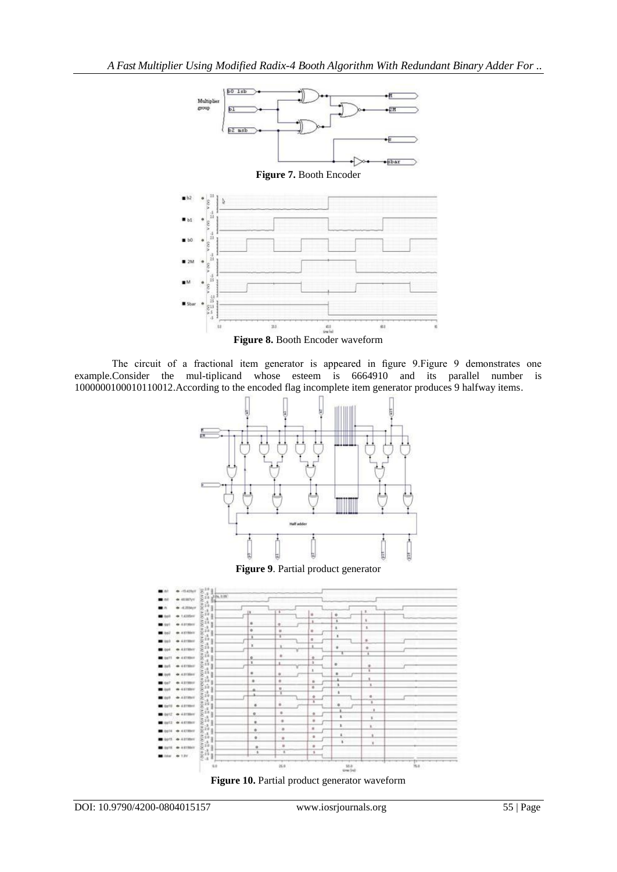

The circuit of a fractional item generator is appeared in figure 9.Figure 9 demonstrates one example.Consider the mul-tiplicand whose esteem is 6664910 and its parallel number is 1000000100010110012.According to the encoded flag incomplete item generator produces 9 halfway items.







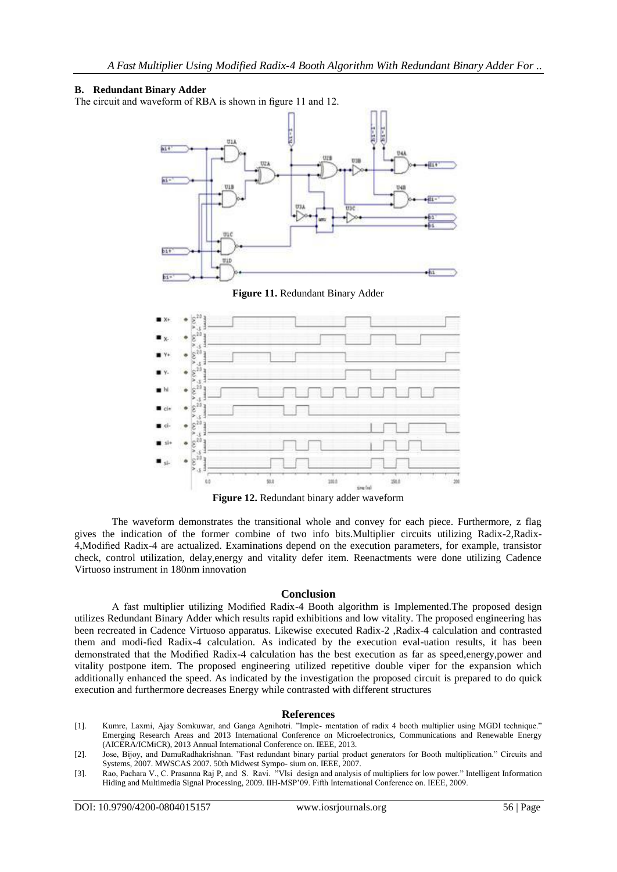#### **B. Redundant Binary Adder**

The circuit and waveform of RBA is shown in figure 11 and 12.





**Figure 12.** Redundant binary adder waveform

The waveform demonstrates the transitional whole and convey for each piece. Furthermore, z flag gives the indication of the former combine of two info bits.Multiplier circuits utilizing Radix-2,Radix-4,Modified Radix-4 are actualized. Examinations depend on the execution parameters, for example, transistor check, control utilization, delay,energy and vitality defer item. Reenactments were done utilizing Cadence Virtuoso instrument in 180nm innovation

#### **Conclusion**

A fast multiplier utilizing Modified Radix-4 Booth algorithm is Implemented.The proposed design utilizes Redundant Binary Adder which results rapid exhibitions and low vitality. The proposed engineering has been recreated in Cadence Virtuoso apparatus. Likewise executed Radix-2 ,Radix-4 calculation and contrasted them and modi-fied Radix-4 calculation. As indicated by the execution eval-uation results, it has been demonstrated that the Modified Radix-4 calculation has the best execution as far as speed,energy,power and vitality postpone item. The proposed engineering utilized repetitive double viper for the expansion which additionally enhanced the speed. As indicated by the investigation the proposed circuit is prepared to do quick execution and furthermore decreases Energy while contrasted with different structures

#### **References**

- [1]. Kumre, Laxmi, Ajay Somkuwar, and Ganga Agnihotri. "Imple- mentation of radix 4 booth multiplier using MGDI technique." Emerging Research Areas and 2013 International Conference on Microelectronics, Communications and Renewable Energy (AICERA/ICMiCR), 2013 Annual International Conference on. IEEE, 2013.
- [2]. Jose, Bijoy, and DamuRadhakrishnan. "Fast redundant binary partial product generators for Booth multiplication." Circuits and Systems, 2007. MWSCAS 2007. 50th Midwest Sympo- sium on. IEEE, 2007.
- [3]. Rao, Pachara V., C. Prasanna Raj P, and S. Ravi. "Vlsi design and analysis of multipliers for low power." Intelligent Information Hiding and Multimedia Signal Processing, 2009. IIH-MSP'09. Fifth International Conference on. IEEE, 2009.